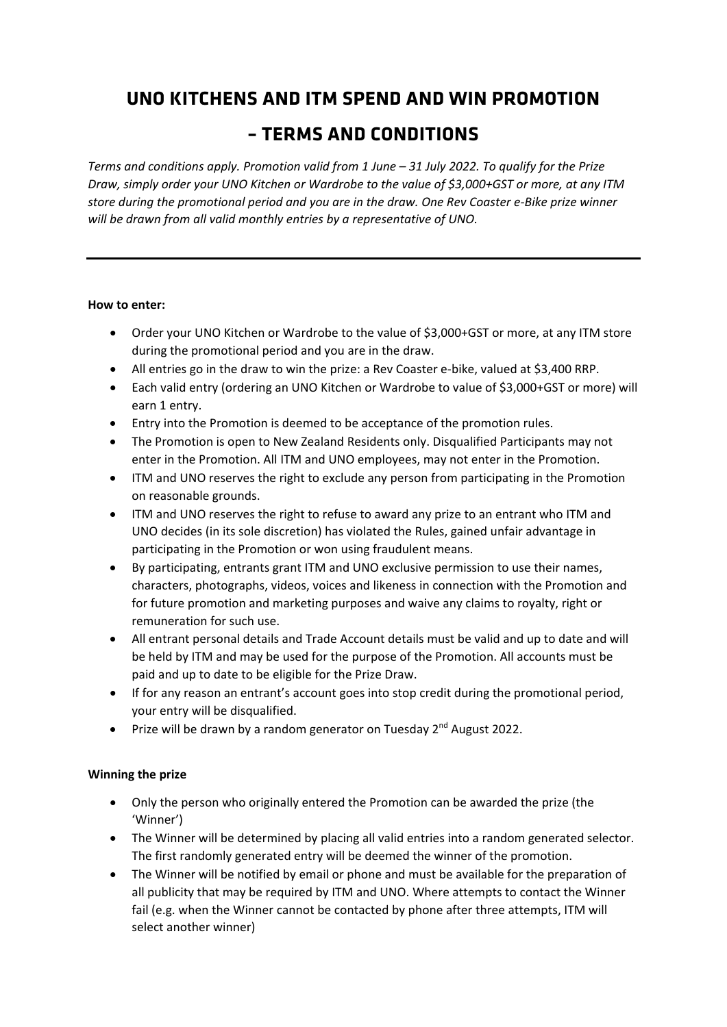# **UNO KITCHENS AND ITM SPEND AND WIN PROMOTION**

# **– TERMS AND CONDITIONS**

*Terms and conditions apply. Promotion valid from 1 June – 31 July 2022. To qualify for the Prize Draw, simply order your UNO Kitchen or Wardrobe to the value of \$3,000+GST or more, at any ITM store during the promotional period and you are in the draw. One Rev Coaster e-Bike prize winner will be drawn from all valid monthly entries by a representative of UNO.*

#### **How to enter:**

- Order your UNO Kitchen or Wardrobe to the value of \$3,000+GST or more, at any ITM store during the promotional period and you are in the draw.
- All entries go in the draw to win the prize: a Rev Coaster e-bike, valued at \$3,400 RRP.
- Each valid entry (ordering an UNO Kitchen or Wardrobe to value of \$3,000+GST or more) will earn 1 entry.
- Entry into the Promotion is deemed to be acceptance of the promotion rules.
- The Promotion is open to New Zealand Residents only. Disqualified Participants may not enter in the Promotion. All ITM and UNO employees, may not enter in the Promotion.
- ITM and UNO reserves the right to exclude any person from participating in the Promotion on reasonable grounds.
- ITM and UNO reserves the right to refuse to award any prize to an entrant who ITM and UNO decides (in its sole discretion) has violated the Rules, gained unfair advantage in participating in the Promotion or won using fraudulent means.
- By participating, entrants grant ITM and UNO exclusive permission to use their names, characters, photographs, videos, voices and likeness in connection with the Promotion and for future promotion and marketing purposes and waive any claims to royalty, right or remuneration for such use.
- All entrant personal details and Trade Account details must be valid and up to date and will be held by ITM and may be used for the purpose of the Promotion. All accounts must be paid and up to date to be eligible for the Prize Draw.
- If for any reason an entrant's account goes into stop credit during the promotional period, your entry will be disqualified.
- Prize will be drawn by a random generator on Tuesday  $2^{nd}$  August 2022.

## **Winning the prize**

- Only the person who originally entered the Promotion can be awarded the prize (the 'Winner')
- The Winner will be determined by placing all valid entries into a random generated selector. The first randomly generated entry will be deemed the winner of the promotion.
- The Winner will be notified by email or phone and must be available for the preparation of all publicity that may be required by ITM and UNO. Where attempts to contact the Winner fail (e.g. when the Winner cannot be contacted by phone after three attempts, ITM will select another winner)